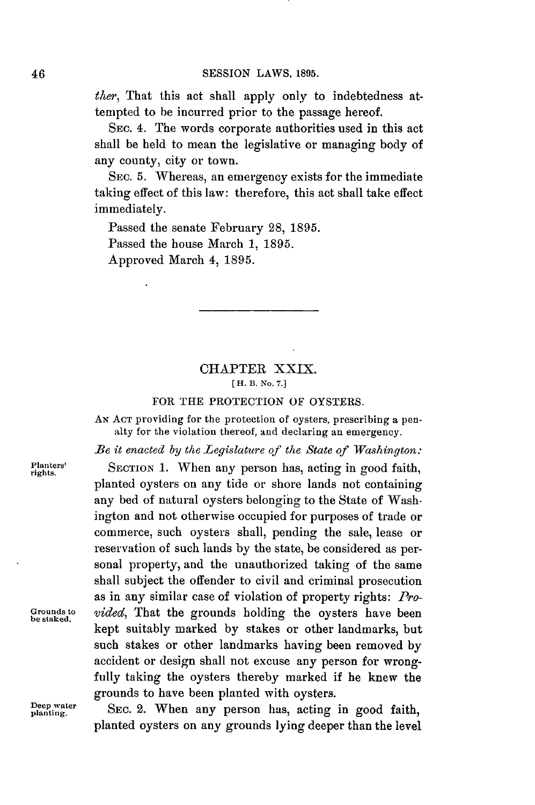*ther,* That this act shall apply only to indebtedness attempted to be incurred prior to the passage hereof.

**SEC.** 4. The words corporate authorities used in this act shall be held to mean the legislative or managing body of any county, city or town.

**SEC. 5.** Whereas, an emergency exists for the immediate taking effect of this law: therefore, this act shall take effect immediately.

Passed the senate February **28, 1895.** Passed the house March **1, 1895.** Approved March 4, **1895.**

## CHAPTER XXIX. **[ H. B. No. 7.]**

## FOR THE PROTECTION OF OYSTERS.

**AN ACT** providing for the protection of oysters, prescribing a penalty for the violation thereof, and declaring an emergency.

*Be it enacted by the Legislature of the State of Washington:*

planted oysters on any tide or shore lands not containing any bed of natural oysters belonging to the State of Washington and not otherwise occupied for purposes of trade or commerce, such oysters shall, pending the sale, lease or reservation of such lands **by** the state, be considered as personal property, and the unauthorized taking of the same shall subject the offender to civil and criminal prosecution as in any similar case of violation of property rights: *Pro-*

**Planters' SECTION 1.** When any person has, acting in good faith, **rights.**

Grounds to *vided*, That the grounds holding the oysters have been

Deep water SEC. 2. When any person has, acting in good faith, planted oysters on any grounds lying deeper than the level

grounds to have been planted with oysters.

kept suitably marked **by** stakes or other landmarks, but such stakes or other landmarks having been removed **by** accident or design shall not excuse any person for wrongfully taking the oysters thereby marked if he knew the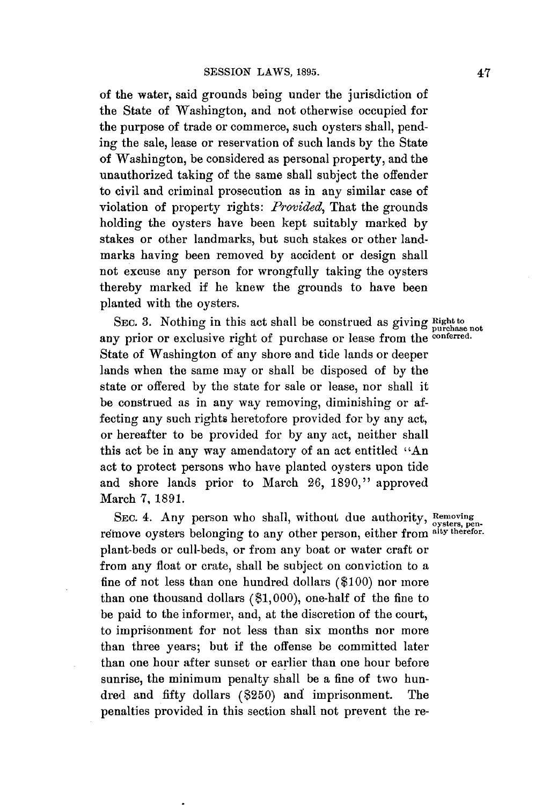of the water, said grounds being under the jurisdiction of the State of Washington, and not otherwise occupied for the purpose of trade or commerce, such oysters shall, pending the sale, lease or reservation of such lands **by** the State of Washington, be considered as personal property, and the unauthorized taking of the same shall subject the offender to civil and criminal prosecution as in any similar case of violation of property rights: *Provided,* That the grounds holding the oysters have been kept suitably marked **by** stakes or other landmarks, but such stakes or other landmarks having been removed **by** accident or design shall not excuse any person for wrongfully taking the oysters thereby marked if he knew the grounds to have been planted with the oysters.

SEC. 3. Nothing in this act shall be construed as giving **Right** to purchase not any prior or exclusive right of purchase or lease from the **conferred**. State of Washington of any shore and tide lands or deeper lands when the same may or shall **be** disposed of **by** the state or offered **by** the state for sale or lease, nor shall it be construed as in any way removing, diminishing or affecting any such rights heretofore provided for **by** any act, or hereafter to be provided for **by** any act, neither shall this act be in any way amendatory of an act entitled "An act to protect persons who have planted oysters upon tide and shore lands prior to March **26, 1890,"** approved March **7, 1891.**

SEC. 4. Any person who shall, without due authority, Removing once it in person who shall, while due duringly, oysters, pen-<br>remove oysters belonging to any other person, either from alty therefore. plant-beds or cull-beds, or from any boat or water craft or from any float or crate, shall be subject on conviction to a fine of not less than one hundred dollars **(\$100)** nor more than one thousand dollars **(\$1,000),** one-half of the fine to be paid to the informer, and, at the discretion of the court, to imprisonment for not less than six months nor more than three years; but if the offense be committed later than one hour after sunset or earlier than one hour before sunrise, the minimum penalty shall be a fine of two hundred and fifty dollars (\$250) and imprisonment. The penalties provided in this section shall not prevent the re-